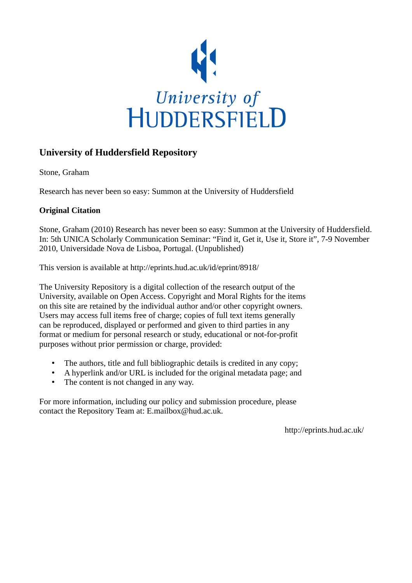

# **University of Huddersfield Repository**

Stone, Graham

Research has never been so easy: Summon at the University of Huddersfield

## **Original Citation**

Stone, Graham (2010) Research has never been so easy: Summon at the University of Huddersfield. In: 5th UNICA Scholarly Communication Seminar: "Find it, Get it, Use it, Store it", 7-9 November 2010, Universidade Nova de Lisboa, Portugal. (Unpublished)

This version is available at http://eprints.hud.ac.uk/id/eprint/8918/

The University Repository is a digital collection of the research output of the University, available on Open Access. Copyright and Moral Rights for the items on this site are retained by the individual author and/or other copyright owners. Users may access full items free of charge; copies of full text items generally can be reproduced, displayed or performed and given to third parties in any format or medium for personal research or study, educational or not-for-profit purposes without prior permission or charge, provided:

- The authors, title and full bibliographic details is credited in any copy;
- A hyperlink and/or URL is included for the original metadata page; and
- The content is not changed in any way.

For more information, including our policy and submission procedure, please contact the Repository Team at: E.mailbox@hud.ac.uk.

http://eprints.hud.ac.uk/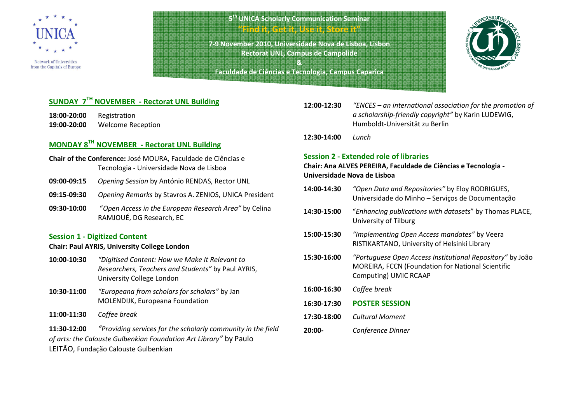

Network of Universities from the Capitals of Europe

## **5th UNICA Scholarly Communication Seminar "Find it, Get it, Use it, Store it"**

**7-9 November 2010, Universidade Nova de Lisboa, Lisbon Rectorat UNL, Campus de Campolide** 

**& Faculdade de Ciências e Tecnologia, Campus Caparica**

## **SUNDAY 7TH NOVEMBER - Rectorat UNL Building**

**18:00-20:00** Registration **19:00-20:00** Welcome Reception

## **MONDAY 8TH NOVEMBER - Rectorat UNL Building**

- **Chair of the Conference:** José MOURA, Faculdade de Ciências e Tecnologia - Universidade Nova de Lisboa
- **09:00-09:15***Opening Session* by António RENDAS, Rector UNL
- **09:15-09:30***Opening Remarks* by Stavros A. ZENIOS, UNICA President
- **09:30-10:00** "*Open Access in the European Research Area"* by Celina RAMJOUÉ, DG Research, EC

#### **Session 1 - Digitized Content**

### **Chair: Paul AYRIS, University College London**

- **10:00-10:30** *"Digitised Content: How we Make It Relevant to Researchers, Teachers and Students"* by Paul AYRIS, University College London
- **10:30-11:00** *"Europeana from scholars for scholars"* by Jan MOLENDIJK, Europeana Foundation
- **11:00-11:30** *Coffee break*

**11:30-12:00** *"Providing services for the scholarly community in the field of arts: the Calouste Gulbenkian Foundation Art Library"* by Paulo LEITÃO, Fundação Calouste Gulbenkian

- **12:00-12:30** *"ENCES – an international association for the promotion of a scholarship-friendly copyright"* by Karin LUDEWIG, Humboldt-Universität zu Berlin
- **12:30-14:00** *Lunch*

#### **Session 2 - Extended role of libraries**

**Chair: Ana ALVES PEREIRA, Faculdade de Ciências e Tecnologia -Universidade Nova de Lisboa** 

| 14:00-14:30 | "Open Data and Repositories" by Eloy RODRIGUES,<br>Universidade do Minho - Serviços de Documentação                                            |
|-------------|------------------------------------------------------------------------------------------------------------------------------------------------|
| 14:30-15:00 | "Enhancing publications with datasets" by Thomas PLACE,<br>University of Tilburg                                                               |
| 15:00-15:30 | "Implementing Open Access mandates" by Veera<br>RISTIKARTANO, University of Helsinki Library                                                   |
| 15:30-16:00 | "Portuguese Open Access Institutional Repository" by João<br><b>MOREIRA, FCCN (Foundation for National Scientific</b><br>Computing) UMIC RCAAP |
| 16:00-16:30 | Coffee break                                                                                                                                   |
| 16:30-17:30 | <b>POSTER SESSION</b>                                                                                                                          |
| 17:30-18:00 | Cultural Moment                                                                                                                                |
| 20:00-      | Conference Dinner                                                                                                                              |
|             |                                                                                                                                                |